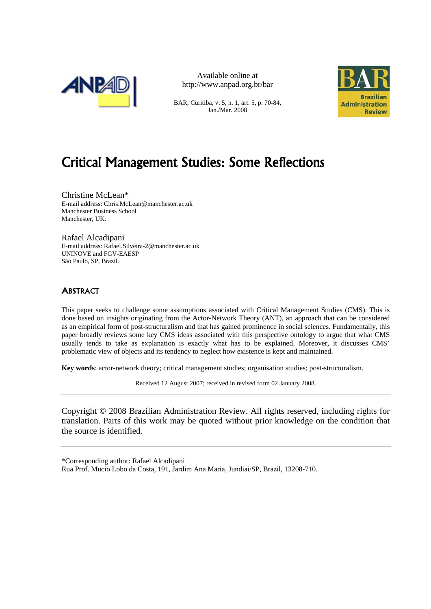

Available online at http://www.anpad.org.br/bar

BAR, Curitiba, v. 5, n. 1, art. 5, p. 70-84, Jan./Mar. 2008



# Critical Management Studies: Some Reflections

Christine McLean\* E-mail address: Chris.McLean@manchester.ac.uk Manchester Business School Manchester, UK.

Rafael Alcadipani E-mail address: Rafael.Silveira-2@manchester.ac.uk UNINOVE and FGV-EAESP São Paulo, SP, Brazil.

## **ABSTRACT**

This paper seeks to challenge some assumptions associated with Critical Management Studies (CMS). This is done based on insights originating from the Actor-Network Theory (ANT), an approach that can be considered as an empirical form of post-structuralism and that has gained prominence in social sciences. Fundamentally, this paper broadly reviews some key CMS ideas associated with this perspective ontology to argue that what CMS usually tends to take as explanation is exactly what has to be explained. Moreover, it discusses CMS' problematic view of objects and its tendency to neglect how existence is kept and maintained.

**Key words**: actor-network theory; critical management studies; organisation studies; post-structuralism.

Received 12 August 2007; received in revised form 02 January 2008.

Copyright © 2008 Brazilian Administration Review. All rights reserved, including rights for translation. Parts of this work may be quoted without prior knowledge on the condition that the source is identified.

\*Corresponding author: Rafael Alcadipani

Rua Prof. Mucio Lobo da Costa, 191, Jardim Ana Maria, Jundiai/SP, Brazil, 13208-710.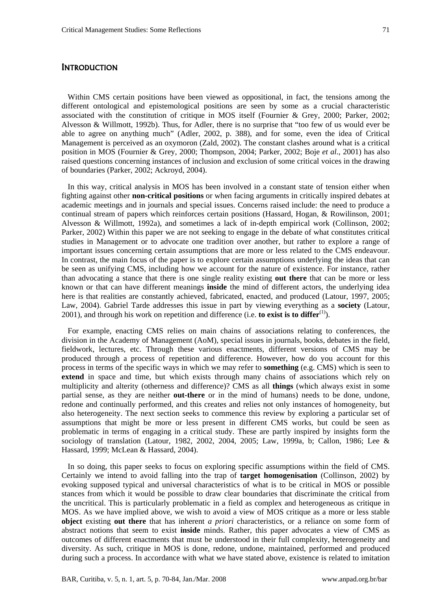Within CMS certain positions have been viewed as oppositional, in fact, the tensions among the different ontological and epistemological positions are seen by some as a crucial characteristic associated with the constitution of critique in MOS itself (Fournier & Grey, 2000; Parker, 2002; Alvesson & Willmott, 1992b). Thus, for Adler, there is no surprise that "too few of us would ever be able to agree on anything much" (Adler, 2002, p. 388), and for some, even the idea of Critical Management is perceived as an oxymoron (Zald, 2002). The constant clashes around what is a critical position in MOS (Fournier & Grey, 2000; Thompson, 2004; Parker, 2002; Boje *et al*., 2001) has also raised questions concerning instances of inclusion and exclusion of some critical voices in the drawing of boundaries (Parker, 2002; Ackroyd, 2004).

In this way, critical analysis in MOS has been involved in a constant state of tension either when fighting against other **non-critical positions** or when facing arguments in critically inspired debates at academic meetings and in journals and special issues. Concerns raised include: the need to produce a continual stream of papers which reinforces certain positions (Hassard, Hogan, & Rowilinson, 2001; Alvesson & Willmott, 1992a), and sometimes a lack of in-depth empirical work (Collinson, 2002; Parker, 2002) Within this paper we are not seeking to engage in the debate of what constitutes critical studies in Management or to advocate one tradition over another, but rather to explore a range of important issues concerning certain assumptions that are more or less related to the CMS endeavour. In contrast, the main focus of the paper is to explore certain assumptions underlying the ideas that can be seen as unifying CMS, including how we account for the nature of existence. For instance, rather than advocating a stance that there is one single reality existing **out there** that can be more or less known or that can have different meanings **inside** the mind of different actors, the underlying idea here is that realities are constantly achieved, fabricated, enacted, and produced (Latour, 1997, 2005; Law, 2004). Gabriel Tarde addresses this issue in part by viewing everything as a **society** (Latour, 2001), and through his work on repetition and difference (i.e. **to exist is to differ**<sup>(1)</sup>).

For example, enacting CMS relies on main chains of associations relating to conferences, the division in the Academy of Management (AoM), special issues in journals, books, debates in the field, fieldwork, lectures, etc. Through these various enactments, different versions of CMS may be produced through a process of repetition and difference. However, how do you account for this process in terms of the specific ways in which we may refer to **something** (e.g. CMS) which is seen to extend in space and time, but which exists through many chains of associations which rely on multiplicity and alterity (otherness and difference)? CMS as all **things** (which always exist in some partial sense, as they are neither **out-there** or in the mind of humans) needs to be done, undone, redone and continually performed, and this creates and relies not only instances of homogeneity, but also heterogeneity. The next section seeks to commence this review by exploring a particular set of assumptions that might be more or less present in different CMS works, but could be seen as problematic in terms of engaging in a critical study. These are partly inspired by insights form the sociology of translation (Latour, 1982, 2002, 2004, 2005; Law, 1999a, b; Callon, 1986; Lee & Hassard, 1999; McLean & Hassard, 2004).

In so doing, this paper seeks to focus on exploring specific assumptions within the field of CMS. Certainly we intend to avoid falling into the trap of **target homogenisation** (Collinson, 2002) by evoking supposed typical and universal characteristics of what is to be critical in MOS or possible stances from which it would be possible to draw clear boundaries that discriminate the critical from the uncritical. This is particularly problematic in a field as complex and heterogeneous as critique in MOS. As we have implied above, we wish to avoid a view of MOS critique as a more or less stable **object** existing **out there** that has inherent *a priori* characteristics, or a reliance on some form of abstract notions that seem to exist **inside** minds. Rather, this paper advocates a view of CMS as outcomes of different enactments that must be understood in their full complexity, heterogeneity and diversity. As such, critique in MOS is done, redone, undone, maintained, performed and produced during such a process. In accordance with what we have stated above, existence is related to imitation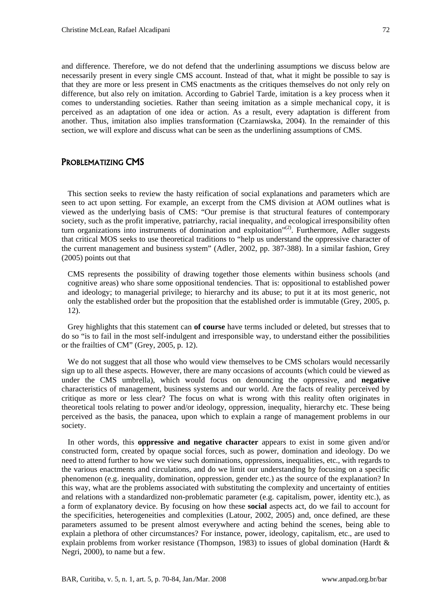and difference. Therefore, we do not defend that the underlining assumptions we discuss below are necessarily present in every single CMS account. Instead of that, what it might be possible to say is that they are more or less present in CMS enactments as the critiques themselves do not only rely on difference, but also rely on imitation. According to Gabriel Tarde, imitation is a key process when it comes to understanding societies. Rather than seeing imitation as a simple mechanical copy, it is perceived as an adaptation of one idea or action. As a result, every adaptation is different from another. Thus, imitation also implies transformation (Czarniawska, 2004). In the remainder of this section, we will explore and discuss what can be seen as the underlining assumptions of CMS.

### PROBLEMATIZING CMS

This section seeks to review the hasty reification of social explanations and parameters which are seen to act upon setting. For example, an excerpt from the CMS division at AOM outlines what is viewed as the underlying basis of CMS: "Our premise is that structural features of contemporary society, such as the profit imperative, patriarchy, racial inequality, and ecological irresponsibility often turn organizations into instruments of domination and exploitation" $(2)$ . Furthermore, Adler suggests that critical MOS seeks to use theoretical traditions to "help us understand the oppressive character of the current management and business system" (Adler, 2002, pp. 387-388). In a similar fashion, Grey (2005) points out that

CMS represents the possibility of drawing together those elements within business schools (and cognitive areas) who share some oppositional tendencies. That is: oppositional to established power and ideology; to managerial privilege; to hierarchy and its abuse; to put it at its most generic, not only the established order but the proposition that the established order is immutable (Grey, 2005, p. 12).

Grey highlights that this statement can **of course** have terms included or deleted, but stresses that to do so "is to fail in the most self-indulgent and irresponsible way, to understand either the possibilities or the frailties of CM" (Grey, 2005, p. 12).

We do not suggest that all those who would view themselves to be CMS scholars would necessarily sign up to all these aspects. However, there are many occasions of accounts (which could be viewed as under the CMS umbrella), which would focus on denouncing the oppressive, and **negative** characteristics of management, business systems and our world. Are the facts of reality perceived by critique as more or less clear? The focus on what is wrong with this reality often originates in theoretical tools relating to power and/or ideology, oppression, inequality, hierarchy etc. These being perceived as the basis, the panacea, upon which to explain a range of management problems in our society.

In other words, this **oppressive and negative character** appears to exist in some given and/or constructed form, created by opaque social forces, such as power, domination and ideology. Do we need to attend further to how we view such dominations, oppressions, inequalities, etc., with regards to the various enactments and circulations, and do we limit our understanding by focusing on a specific phenomenon (e.g. inequality, domination, oppression, gender etc.) as the source of the explanation? In this way, what are the problems associated with substituting the complexity and uncertainty of entities and relations with a standardized non-problematic parameter (e.g. capitalism, power, identity etc.), as a form of explanatory device. By focusing on how these **social** aspects act, do we fail to account for the specificities, heterogeneities and complexities (Latour, 2002, 2005) and, once defined, are these parameters assumed to be present almost everywhere and acting behind the scenes, being able to explain a plethora of other circumstances? For instance, power, ideology, capitalism, etc., are used to explain problems from worker resistance (Thompson, 1983) to issues of global domination (Hardt & Negri, 2000), to name but a few.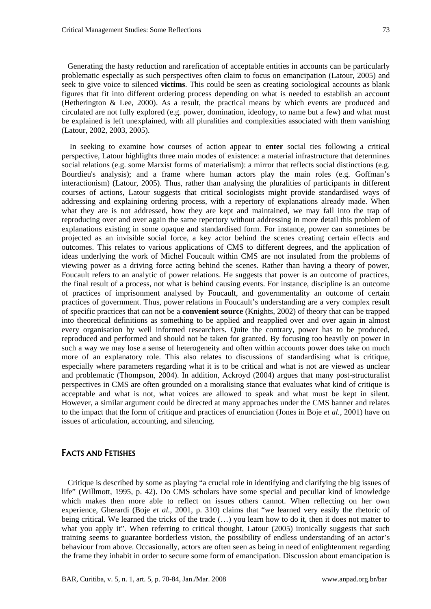Generating the hasty reduction and rarefication of acceptable entities in accounts can be particularly problematic especially as such perspectives often claim to focus on emancipation (Latour, 2005) and seek to give voice to silenced **victims**. This could be seen as creating sociological accounts as blank figures that fit into different ordering process depending on what is needed to establish an account (Hetherington & Lee, 2000). As a result, the practical means by which events are produced and circulated are not fully explored (e.g. power, domination, ideology, to name but a few) and what must be explained is left unexplained, with all pluralities and complexities associated with them vanishing (Latour, 2002, 2003, 2005).

 In seeking to examine how courses of action appear to **enter** social ties following a critical perspective, Latour highlights three main modes of existence: a material infrastructure that determines social relations (e.g. some Marxist forms of materialism): a mirror that reflects social distinctions (e.g. Bourdieu's analysis); and a frame where human actors play the main roles (e.g. Goffman's interactionism) (Latour, 2005). Thus, rather than analysing the pluralities of participants in different courses of actions, Latour suggests that critical sociologists might provide standardised ways of addressing and explaining ordering process, with a repertory of explanations already made. When what they are is not addressed, how they are kept and maintained, we may fall into the trap of reproducing over and over again the same repertory without addressing in more detail this problem of explanations existing in some opaque and standardised form. For instance, power can sometimes be projected as an invisible social force, a key actor behind the scenes creating certain effects and outcomes. This relates to various applications of CMS to different degrees, and the application of ideas underlying the work of Michel Foucault within CMS are not insulated from the problems of viewing power as a driving force acting behind the scenes. Rather than having a theory of power, Foucault refers to an analytic of power relations. He suggests that power is an outcome of practices, the final result of a process, not what is behind causing events. For instance, discipline is an outcome of practices of imprisonment analysed by Foucault, and governmentality an outcome of certain practices of government. Thus, power relations in Foucault's understanding are a very complex result of specific practices that can not be a **convenient source** (Knights, 2002) of theory that can be trapped into theoretical definitions as something to be applied and reapplied over and over again in almost every organisation by well informed researchers. Quite the contrary, power has to be produced, reproduced and performed and should not be taken for granted. By focusing too heavily on power in such a way we may lose a sense of heterogeneity and often within accounts power does take on much more of an explanatory role. This also relates to discussions of standardising what is critique, especially where parameters regarding what it is to be critical and what is not are viewed as unclear and problematic (Thompson, 2004). In addition, Ackroyd (2004) argues that many post-structuralist perspectives in CMS are often grounded on a moralising stance that evaluates what kind of critique is acceptable and what is not, what voices are allowed to speak and what must be kept in silent. However, a similar argument could be directed at many approaches under the CMS banner and relates to the impact that the form of critique and practices of enunciation (Jones in Boje *et al.*, 2001) have on issues of articulation, accounting, and silencing.

#### FACTS AND FETISHES

Critique is described by some as playing "a crucial role in identifying and clarifying the big issues of life" (Willmott, 1995, p. 42). Do CMS scholars have some special and peculiar kind of knowledge which makes then more able to reflect on issues others cannot. When reflecting on her own experience, Gherardi (Boje *et al.*, 2001, p. 310) claims that "we learned very easily the rhetoric of being critical. We learned the tricks of the trade (…) you learn how to do it, then it does not matter to what you apply it". When referring to critical thought, Latour (2005) ironically suggests that such training seems to guarantee borderless vision, the possibility of endless understanding of an actor's behaviour from above. Occasionally, actors are often seen as being in need of enlightenment regarding the frame they inhabit in order to secure some form of emancipation. Discussion about emancipation is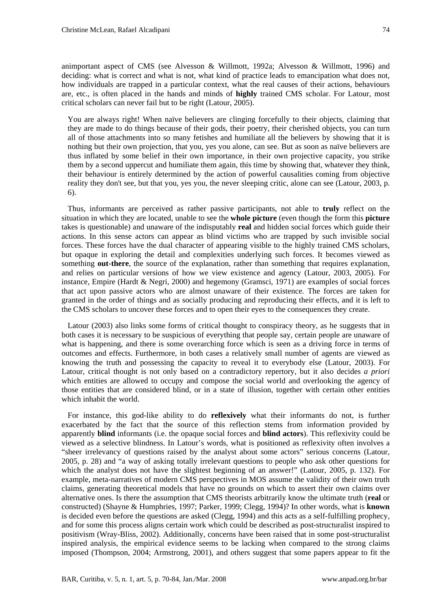animportant aspect of CMS (see Alvesson & Willmott, 1992a; Alvesson & Willmott, 1996) and deciding: what is correct and what is not, what kind of practice leads to emancipation what does not, how individuals are trapped in a particular context, what the real causes of their actions, behaviours are, etc., is often placed in the hands and minds of **highly** trained CMS scholar. For Latour, most critical scholars can never fail but to be right (Latour, 2005).

You are always right! When naïve believers are clinging forcefully to their objects, claiming that they are made to do things because of their gods, their poetry, their cherished objects, you can turn all of those attachments into so many fetishes and humiliate all the believers by showing that it is nothing but their own projection, that you, yes you alone, can see. But as soon as naïve believers are thus inflated by some belief in their own importance, in their own projective capacity, you strike them by a second uppercut and humiliate them again, this time by showing that, whatever they think, their behaviour is entirely determined by the action of powerful causalities coming from objective reality they don't see, but that you, yes you, the never sleeping critic, alone can see (Latour, 2003, p. 6).

Thus, informants are perceived as rather passive participants, not able to **truly** reflect on the situation in which they are located, unable to see the **whole picture** (even though the form this **picture** takes is questionable) and unaware of the indisputably **real** and hidden social forces which guide their actions. In this sense actors can appear as blind victims who are trapped by such invisible social forces. These forces have the dual character of appearing visible to the highly trained CMS scholars, but opaque in exploring the detail and complexities underlying such forces. It becomes viewed as something **out-there**, the source of the explanation, rather than something that requires explanation, and relies on particular versions of how we view existence and agency (Latour, 2003, 2005). For instance, Empire (Hardt & Negri, 2000) and hegemony (Gramsci, 1971) are examples of social forces that act upon passive actors who are almost unaware of their existence. The forces are taken for granted in the order of things and as socially producing and reproducing their effects, and it is left to the CMS scholars to uncover these forces and to open their eyes to the consequences they create.

Latour (2003) also links some forms of critical thought to conspiracy theory, as he suggests that in both cases it is necessary to be suspicious of everything that people say, certain people are unaware of what is happening, and there is some overarching force which is seen as a driving force in terms of outcomes and effects. Furthermore, in both cases a relatively small number of agents are viewed as knowing the truth and possessing the capacity to reveal it to everybody else (Latour, 2003). For Latour, critical thought is not only based on a contradictory repertory, but it also decides *a priori* which entities are allowed to occupy and compose the social world and overlooking the agency of those entities that are considered blind, or in a state of illusion, together with certain other entities which inhabit the world.

For instance, this god-like ability to do **reflexively** what their informants do not, is further exacerbated by the fact that the source of this reflection stems from information provided by apparently **blind** informants (i.e. the opaque social forces and **blind actors**). This reflexivity could be viewed as a selective blindness. In Latour's words, what is positioned as reflexivity often involves a "sheer irrelevancy of questions raised by the analyst about some actors" serious concerns (Latour, 2005, p. 28) and "a way of asking totally irrelevant questions to people who ask other questions for which the analyst does not have the slightest beginning of an answer!" (Latour, 2005, p. 132). For example, meta-narratives of modern CMS perspectives in MOS assume the validity of their own truth claims, generating theoretical models that have no grounds on which to assert their own claims over alternative ones. Is there the assumption that CMS theorists arbitrarily know the ultimate truth (**real** or constructed) (Shayne & Humphries, 1997; Parker, 1999; Clegg, 1994)? In other words, what is **known** is decided even before the questions are asked (Clegg, 1994) and this acts as a self-fulfilling prophecy, and for some this process aligns certain work which could be described as post-structuralist inspired to positivism (Wray-Bliss, 2002). Additionally, concerns have been raised that in some post-structuralist inspired analysis, the empirical evidence seems to be lacking when compared to the strong claims imposed (Thompson, 2004; Armstrong, 2001), and others suggest that some papers appear to fit the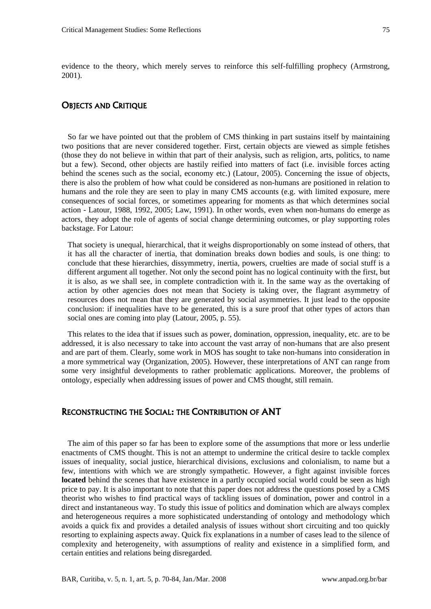evidence to the theory, which merely serves to reinforce this self-fulfilling prophecy (Armstrong, 2001).

#### OBJECTS AND CRITIQUE

So far we have pointed out that the problem of CMS thinking in part sustains itself by maintaining two positions that are never considered together. First, certain objects are viewed as simple fetishes (those they do not believe in within that part of their analysis, such as religion, arts, politics, to name but a few). Second, other objects are hastily reified into matters of fact (i.e. invisible forces acting behind the scenes such as the social, economy etc.) (Latour, 2005). Concerning the issue of objects, there is also the problem of how what could be considered as non-humans are positioned in relation to humans and the role they are seen to play in many CMS accounts (e.g. with limited exposure, mere consequences of social forces, or sometimes appearing for moments as that which determines social action - Latour, 1988, 1992, 2005; Law, 1991). In other words, even when non-humans do emerge as actors, they adopt the role of agents of social change determining outcomes, or play supporting roles backstage. For Latour:

That society is unequal, hierarchical, that it weighs disproportionably on some instead of others, that it has all the character of inertia, that domination breaks down bodies and souls, is one thing: to conclude that these hierarchies, dissymmetry, inertia, powers, cruelties are made of social stuff is a different argument all together. Not only the second point has no logical continuity with the first, but it is also, as we shall see, in complete contradiction with it. In the same way as the overtaking of action by other agencies does not mean that Society is taking over, the flagrant asymmetry of resources does not mean that they are generated by social asymmetries. It just lead to the opposite conclusion: if inequalities have to be generated, this is a sure proof that other types of actors than social ones are coming into play (Latour, 2005, p. 55).

This relates to the idea that if issues such as power, domination, oppression, inequality, etc. are to be addressed, it is also necessary to take into account the vast array of non-humans that are also present and are part of them. Clearly, some work in MOS has sought to take non-humans into consideration in a more symmetrical way (Organization, 2005). However, these interpretations of ANT can range from some very insightful developments to rather problematic applications. Moreover, the problems of ontology, especially when addressing issues of power and CMS thought, still remain.

### RECONSTRUCTING THE SOCIAL: THE CONTRIBUTION OF ANT

The aim of this paper so far has been to explore some of the assumptions that more or less underlie enactments of CMS thought. This is not an attempt to undermine the critical desire to tackle complex issues of inequality, social justice, hierarchical divisions, exclusions and colonialism, to name but a few, intentions with which we are strongly sympathetic. However, a fight against invisible forces **located** behind the scenes that have existence in a partly occupied social world could be seen as high price to pay. It is also important to note that this paper does not address the questions posed by a CMS theorist who wishes to find practical ways of tackling issues of domination, power and control in a direct and instantaneous way. To study this issue of politics and domination which are always complex and heterogeneous requires a more sophisticated understanding of ontology and methodology which avoids a quick fix and provides a detailed analysis of issues without short circuiting and too quickly resorting to explaining aspects away. Quick fix explanations in a number of cases lead to the silence of complexity and heterogeneity, with assumptions of reality and existence in a simplified form, and certain entities and relations being disregarded.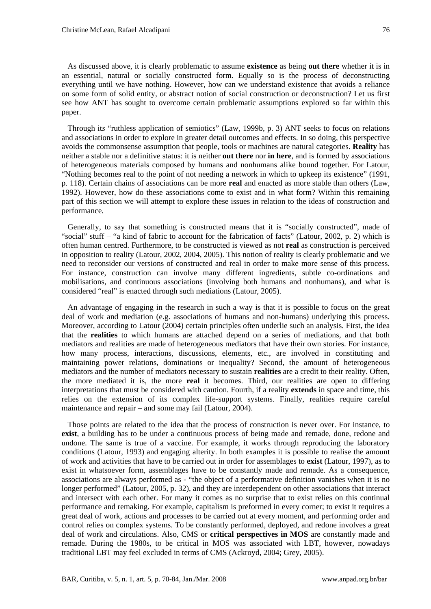As discussed above, it is clearly problematic to assume **existence** as being **out there** whether it is in an essential, natural or socially constructed form. Equally so is the process of deconstructing everything until we have nothing. However, how can we understand existence that avoids a reliance on some form of solid entity, or abstract notion of social construction or deconstruction? Let us first see how ANT has sought to overcome certain problematic assumptions explored so far within this paper.

Through it*s* "ruthless application of semiotics" (Law, 1999b, p. 3) ANT seeks to focus on relations and associations in order to explore in greater detail outcomes and effects. In so doing, this perspective avoids the commonsense assumption that people, tools or machines are natural categories. **Reality** has neither a stable nor a definitive status: it is neither **out there** nor **in here**, and is formed by associations of heterogeneous materials composed by humans and nonhumans alike bound together. For Latour, "Nothing becomes real to the point of not needing a network in which to upkeep its existence" (1991, p. 118). Certain chains of associations can be more **real** and enacted as more stable than others (Law, 1992). However, how do these associations come to exist and in what form? Within this remaining part of this section we will attempt to explore these issues in relation to the ideas of construction and performance.

Generally, to say that something is constructed means that it is "socially constructed", made of "social" stuff – "a kind of fabric to account for the fabrication of facts" (Latour, 2002, p. 2) which is often human centred. Furthermore, to be constructed is viewed as not **real** as construction is perceived in opposition to reality (Latour, 2002, 2004, 2005). This notion of reality is clearly problematic and we need to reconsider our versions of constructed and real in order to make more sense of this process. For instance, construction can involve many different ingredients, subtle co-ordinations and mobilisations, and continuous associations (involving both humans and nonhumans), and what is considered "real" is enacted through such mediations (Latour, 2005).

An advantage of engaging in the research in such a way is that it is possible to focus on the great deal of work and mediation (e.g. associations of humans and non-humans) underlying this process. Moreover, according to Latour (2004) certain principles often underlie such an analysis. First, the idea that the **realities** to which humans are attached depend on a series of mediations, and that both mediators and realities are made of heterogeneous mediators that have their own stories. For instance, how many process, interactions, discussions, elements, etc., are involved in constituting and maintaining power relations, dominations or inequality? Second, the amount of heterogeneous mediators and the number of mediators necessary to sustain **realities** are a credit to their reality. Often, the more mediated it is, the more **real** it becomes. Third, our realities are open to differing interpretations that must be considered with caution. Fourth, if a reality **extends** in space and time, this relies on the extension of its complex life-support systems. Finally, realities require careful maintenance and repair – and some may fail (Latour, 2004).

Those points are related to the idea that the process of construction is never over. For instance, to **exist**, a building has to be under a continuous process of being made and remade, done, redone and undone. The same is true of a vaccine. For example, it works through reproducing the laboratory conditions (Latour, 1993) and engaging alterity. In both examples it is possible to realise the amount of work and activities that have to be carried out in order for assemblages to **exist** (Latour, 1997), as to exist in whatsoever form, assemblages have to be constantly made and remade. As a consequence, associations are always performed as - "the object of a performative definition vanishes when it is no longer performed" (Latour, 2005, p. 32), and they are interdependent on other associations that interact and intersect with each other. For many it comes as no surprise that to exist relies on this continual performance and remaking. For example, capitalism is preformed in every corner; to exist it requires a great deal of work, actions and processes to be carried out at every moment, and performing order and control relies on complex systems. To be constantly performed, deployed, and redone involves a great deal of work and circulations. Also, CMS or **critical perspectives in MOS** are constantly made and remade. During the 1980s, to be critical in MOS was associated with LBT, however, nowadays traditional LBT may feel excluded in terms of CMS (Ackroyd, 2004; Grey, 2005).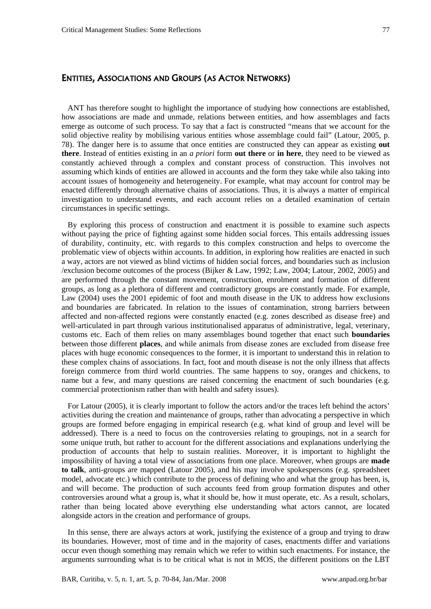## ENTITIES, ASSOCIATIONS AND GROUPS (AS ACTOR NETWORKS)

ANT has therefore sought to highlight the importance of studying how connections are established, how associations are made and unmade, relations between entities, and how assemblages and facts emerge as outcome of such process. To say that a fact is constructed "means that we account for the solid objective reality by mobilising various entities whose assemblage could fail" (Latour, 2005, p. 78). The danger here is to assume that once entities are constructed they can appear as existing **out there**. Instead of entities existing in an *a priori* form **out there** or **in here**, they need to be viewed as constantly achieved through a complex and constant process of construction. This involves not assuming which kinds of entities are allowed in accounts and the form they take while also taking into account issues of homogeneity and heterogeneity. For example, what may account for control may be enacted differently through alternative chains of associations. Thus, it is always a matter of empirical investigation to understand events, and each account relies on a detailed examination of certain circumstances in specific settings.

By exploring this process of construction and enactment it is possible to examine such aspects without paying the price of fighting against some hidden social forces. This entails addressing issues of durability, continuity, etc. with regards to this complex construction and helps to overcome the problematic view of objects within accounts. In addition, in exploring how realities are enacted in such a way, actors are not viewed as blind victims of hidden social forces, and boundaries such as inclusion /exclusion become outcomes of the process (Bijker & Law, 1992; Law, 2004; Latour, 2002, 2005) and are performed through the constant movement, construction, enrolment and formation of different groups, as long as a plethora of different and contradictory groups are constantly made. For example, Law (2004) uses the 2001 epidemic of foot and mouth disease in the UK to address how exclusions and boundaries are fabricated. In relation to the issues of contamination, strong barriers between affected and non-affected regions were constantly enacted (e.g. zones described as disease free) and well-articulated in part through various institutionalised apparatus of administrative, legal, veterinary, customs etc. Each of them relies on many assemblages bound together that enact such **boundaries** between those different **places**, and while animals from disease zones are excluded from disease free places with huge economic consequences to the former, it is important to understand this in relation to these complex chains of associations. In fact, foot and mouth disease is not the only illness that affects foreign commerce from third world countries. The same happens to soy, oranges and chickens, to name but a few, and many questions are raised concerning the enactment of such boundaries (e.g. commercial protectionism rather than with health and safety issues).

For Latour (2005), it is clearly important to follow the actors and/or the traces left behind the actors' activities during the creation and maintenance of groups, rather than advocating a perspective in which groups are formed before engaging in empirical research (e.g. what kind of group and level will be addressed). There is a need to focus on the controversies relating to groupings, not in a search for some unique truth, but rather to account for the different associations and explanations underlying the production of accounts that help to sustain realities. Moreover, it is important to highlight the impossibility of having a total view of associations from one place. Moreover, when groups are **made to talk**, anti-groups are mapped (Latour 2005), and his may involve spokespersons (e.g. spreadsheet model, advocate etc.) which contribute to the process of defining who and what the group has been, is, and will become. The production of such accounts feed from group formation disputes and other controversies around what a group is, what it should be, how it must operate, etc. As a result, scholars, rather than being located above everything else understanding what actors cannot, are located alongside actors in the creation and performance of groups.

In this sense, there are always actors at work, justifying the existence of a group and trying to draw its boundaries. However, most of time and in the majority of cases, enactments differ and variations occur even though something may remain which we refer to within such enactments. For instance, the arguments surrounding what is to be critical what is not in MOS, the different positions on the LBT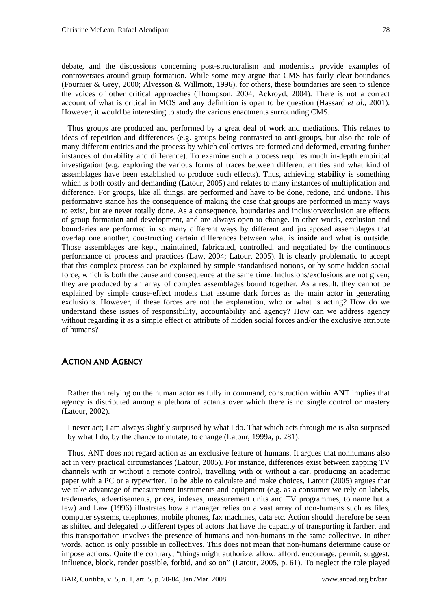debate, and the discussions concerning post-structuralism and modernists provide examples of controversies around group formation. While some may argue that CMS has fairly clear boundaries

(Fournier & Grey, 2000; Alvesson & Willmott, 1996), for others, these boundaries are seen to silence the voices of other critical approaches (Thompson, 2004; Ackroyd, 2004). There is not a correct account of what is critical in MOS and any definition is open to be question (Hassard *et al.*, 2001). However, it would be interesting to study the various enactments surrounding CMS.

Thus groups are produced and performed by a great deal of work and mediations. This relates to ideas of repetition and differences (e.g. groups being contrasted to anti-groups, but also the role of many different entities and the process by which collectives are formed and deformed, creating further instances of durability and difference). To examine such a process requires much in-depth empirical investigation (e.g. exploring the various forms of traces between different entities and what kind of assemblages have been established to produce such effects). Thus, achieving **stability** is something which is both costly and demanding (Latour, 2005) and relates to many instances of multiplication and difference. For groups, like all things, are performed and have to be done, redone, and undone. This performative stance has the consequence of making the case that groups are performed in many ways to exist, but are never totally done. As a consequence, boundaries and inclusion/exclusion are effects of group formation and development, and are always open to change. In other words, exclusion and boundaries are performed in so many different ways by different and juxtaposed assemblages that overlap one another, constructing certain differences between what is **inside** and what is **outside**. Those assemblages are kept, maintained, fabricated, controlled, and negotiated by the continuous performance of process and practices (Law, 2004; Latour, 2005). It is clearly problematic to accept that this complex process can be explained by simple standardised notions, or by some hidden social force, which is both the cause and consequence at the same time. Inclusions/exclusions are not given; they are produced by an array of complex assemblages bound together. As a result, they cannot be explained by simple cause-effect models that assume dark forces as the main actor in generating exclusions. However, if these forces are not the explanation, who or what is acting? How do we understand these issues of responsibility, accountability and agency? How can we address agency without regarding it as a simple effect or attribute of hidden social forces and/or the exclusive attribute of humans?

## ACTION AND AGENCY

Rather than relying on the human actor as fully in command, construction within ANT implies that agency is distributed among a plethora of actants over which there is no single control or mastery (Latour, 2002).

I never act; I am always slightly surprised by what I do. That which acts through me is also surprised by what I do, by the chance to mutate, to change (Latour, 1999a, p. 281).

Thus, ANT does not regard action as an exclusive feature of humans. It argues that nonhumans also act in very practical circumstances (Latour, 2005). For instance, differences exist between zapping TV channels with or without a remote control, travelling with or without a car, producing an academic paper with a PC or a typewriter. To be able to calculate and make choices, Latour (2005) argues that we take advantage of measurement instruments and equipment (e.g. as a consumer we rely on labels, trademarks, advertisements, prices, indexes, measurement units and TV programmes, to name but a few) and Law (1996) illustrates how a manager relies on a vast array of non-humans such as files, computer systems, telephones, mobile phones, fax machines, data etc. Action should therefore be seen as shifted and delegated to different types of actors that have the capacity of transporting it farther, and this transportation involves the presence of humans and non-humans in the same collective. In other words, action is only possible in collectives. This does not mean that non-humans determine cause or impose actions. Quite the contrary, "things might authorize, allow, afford, encourage, permit, suggest, influence, block, render possible, forbid, and so on" (Latour, 2005, p. 61). To neglect the role played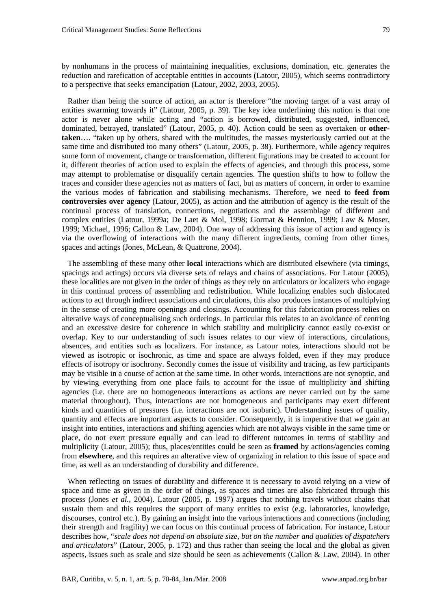by nonhumans in the process of maintaining inequalities, exclusions, domination, etc. generates the reduction and rarefication of acceptable entities in accounts (Latour, 2005), which seems contradictory to a perspective that seeks emancipation (Latour, 2002, 2003, 2005).

Rather than being the source of action, an actor is therefore "the moving target of a vast array of entities swarming towards it" (Latour, 2005, p. 39). The key idea underlining this notion is that one actor is never alone while acting and "action is borrowed, distributed, suggested, influenced, dominated, betrayed, translated" (Latour, 2005, p. 40). Action could be seen as overtaken or **othertaken**…. "taken up by others, shared with the multitudes, the masses mysteriously carried out at the same time and distributed too many others" (Latour, 2005, p. 38). Furthermore, while agency requires some form of movement, change or transformation, different figurations may be created to account for it, different theories of action used to explain the effects of agencies, and through this process, some may attempt to problematise or disqualify certain agencies. The question shifts to how to follow the traces and consider these agencies not as matters of fact, but as matters of concern, in order to examine the various modes of fabrication and stabilising mechanisms. Therefore, we need to **feed from controversies over agency** (Latour, 2005), as action and the attribution of agency is the result of the continual process of translation, connections, negotiations and the assemblage of different and complex entities (Latour, 1999a; De Laet & Mol, 1998; Gormat & Hennion, 1999; Law & Moser, 1999; Michael, 1996; Callon & Law, 2004). One way of addressing this issue of action and agency is via the overflowing of interactions with the many different ingredients, coming from other times, spaces and actings (Jones, McLean, & Quattrone, 2004).

The assembling of these many other **local** interactions which are distributed elsewhere (via timings, spacings and actings) occurs via diverse sets of relays and chains of associations. For Latour (2005), these localities are not given in the order of things as they rely on articulators or localizers who engage in this continual process of assembling and redistribution. While localizing enables such dislocated actions to act through indirect associations and circulations, this also produces instances of multiplying in the sense of creating more openings and closings. Accounting for this fabrication process relies on alterative ways of conceptualising such orderings. In particular this relates to an avoidance of centring and an excessive desire for coherence in which stability and multiplicity cannot easily co-exist or overlap. Key to our understanding of such issues relates to our view of interactions, circulations, absences, and entities such as localizers. For instance, as Latour notes, interactions should not be viewed as isotropic or isochronic, as time and space are always folded, even if they may produce effects of isotropy or isochrony. Secondly comes the issue of visibility and tracing, as few participants may be visible in a course of action at the same time. In other words, interactions are not synoptic, and by viewing everything from one place fails to account for the issue of multiplicity and shifting agencies (i.e. there are no homogeneous interactions as actions are never carried out by the same material throughout). Thus, interactions are not homogeneous and participants may exert different kinds and quantities of pressures (i.e. interactions are not isobaric). Understanding issues of quality, quantity and effects are important aspects to consider. Consequently, it is imperative that we gain an insight into entities, interactions and shifting agencies which are not always visible in the same time or place, do not exert pressure equally and can lead to different outcomes in terms of stability and multiplicity (Latour, 2005); thus, places/entities could be seen as **framed** by actions/agencies coming from **elsewhere**, and this requires an alterative view of organizing in relation to this issue of space and time, as well as an understanding of durability and difference.

When reflecting on issues of durability and difference it is necessary to avoid relying on a view of space and time as given in the order of things, as spaces and times are also fabricated through this process (Jones *et al.*, 2004). Latour (2005, p. 1997) argues that nothing travels without chains that sustain them and this requires the support of many entities to exist (e.g. laboratories, knowledge, discourses, control etc.). By gaining an insight into the various interactions and connections (including their strength and fragility) we can focus on this continual process of fabrication. For instance, Latour describes how, "*scale does not depend on absolute size, but on the number and qualities of dispatchers and articulators*" (Latour, 2005, p. 172) and thus rather than seeing the local and the global as given aspects, issues such as scale and size should be seen as achievements (Callon & Law, 2004). In other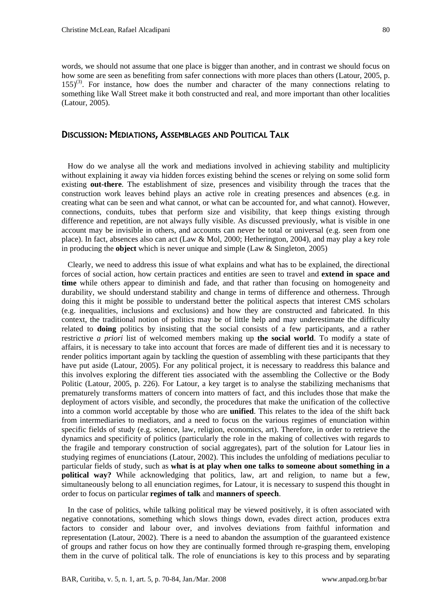words, we should not assume that one place is bigger than another, and in contrast we should focus on how some are seen as benefiting from safer connections with more places than others (Latour, 2005, p.  $155$ <sup>(3)</sup>. For instance, how does the number and character of the many connections relating to something like Wall Street make it both constructed and real, and more important than other localities (Latour, 2005).

#### DISCUSSION: MEDIATIONS, ASSEMBLAGES AND POLITICAL TALK

How do we analyse all the work and mediations involved in achieving stability and multiplicity without explaining it away via hidden forces existing behind the scenes or relying on some solid form existing **out-there**. The establishment of size, presences and visibility through the traces that the construction work leaves behind plays an active role in creating presences and absences (e.g. in creating what can be seen and what cannot, or what can be accounted for, and what cannot). However, connections, conduits, tubes that perform size and visibility, that keep things existing through difference and repetition, are not always fully visible. As discussed previously, what is visible in one account may be invisible in others, and accounts can never be total or universal (e.g. seen from one place). In fact, absences also can act (Law & Mol, 2000; Hetherington, 2004), and may play a key role in producing the **object** which is never unique and simple (Law & Singleton, 2005)

Clearly, we need to address this issue of what explains and what has to be explained, the directional forces of social action, how certain practices and entities are seen to travel and **extend in space and time** while others appear to diminish and fade, and that rather than focusing on homogeneity and durability, we should understand stability and change in terms of difference and otherness. Through doing this it might be possible to understand better the political aspects that interest CMS scholars (e.g. inequalities, inclusions and exclusions) and how they are constructed and fabricated. In this context, the traditional notion of politics may be of little help and may underestimate the difficulty related to **doing** politics by insisting that the social consists of a few participants, and a rather restrictive *a priori* list of welcomed members making up **the social world**. To modify a state of affairs, it is necessary to take into account that forces are made of different ties and it is necessary to render politics important again by tackling the question of assembling with these participants that they have put aside (Latour, 2005). For any political project, it is necessary to readdress this balance and this involves exploring the different ties associated with the assembling the Collective or the Body Politic (Latour, 2005, p. 226). For Latour, a key target is to analyse the stabilizing mechanisms that prematurely transforms matters of concern into matters of fact, and this includes those that make the deployment of actors visible, and secondly, the procedures that make the unification of the collective into a common world acceptable by those who are **unified**. This relates to the idea of the shift back from intermediaries to mediators, and a need to focus on the various regimes of enunciation within specific fields of study (e.g. science, law, religion, economics, art). Therefore, in order to retrieve the dynamics and specificity of politics (particularly the role in the making of collectives with regards to the fragile and temporary construction of social aggregates), part of the solution for Latour lies in studying regimes of enunciations (Latour, 2002). This includes the unfolding of mediations peculiar to particular fields of study, such as **what is at play when one talks to someone about something in a political way?** While acknowledging that politics, law, art and religion, to name but a few, simultaneously belong to all enunciation regimes, for Latour, it is necessary to suspend this thought in order to focus on particular **regimes of talk** and **manners of speech**.

In the case of politics, while talking political may be viewed positively, it is often associated with negative connotations, something which slows things down, evades direct action, produces extra factors to consider and labour over, and involves deviations from faithful information and representation (Latour, 2002). There is a need to abandon the assumption of the guaranteed existence of groups and rather focus on how they are continually formed through re-grasping them, enveloping them in the curve of political talk. The role of enunciations is key to this process and by separating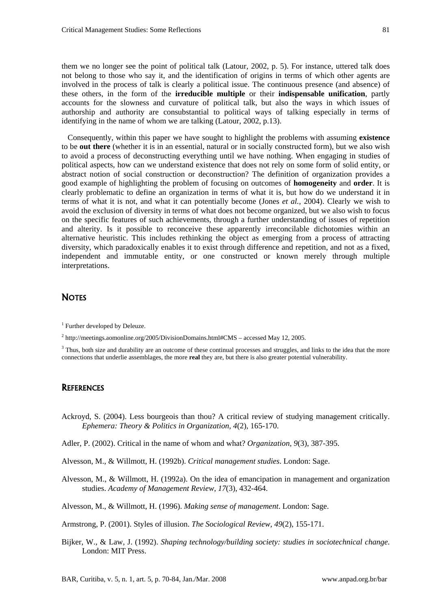them we no longer see the point of political talk (Latour, 2002, p. 5). For instance, uttered talk does not belong to those who say it, and the identification of origins in terms of which other agents are involved in the process of talk is clearly a political issue. The continuous presence (and absence) of these others, in the form of the **irreducible multiple** or their **indispensable unification**, partly accounts for the slowness and curvature of political talk, but also the ways in which issues of authorship and authority are consubstantial to political ways of talking especially in terms of identifying in the name of whom we are talking (Latour, 2002, p.13).

Consequently, within this paper we have sought to highlight the problems with assuming **existence** to be **out there** (whether it is in an essential, natural or in socially constructed form), but we also wish to avoid a process of deconstructing everything until we have nothing. When engaging in studies of political aspects, how can we understand existence that does not rely on some form of solid entity, or abstract notion of social construction or deconstruction? The definition of organization provides a good example of highlighting the problem of focusing on outcomes of **homogeneity** and **order**. It is clearly problematic to define an organization in terms of what it is, but how do we understand it in terms of what it is not, and what it can potentially become (Jones *et al.,* 2004). Clearly we wish to avoid the exclusion of diversity in terms of what does not become organized, but we also wish to focus on the specific features of such achievements, through a further understanding of issues of repetition and alterity. Is it possible to reconceive these apparently irreconcilable dichotomies within an alternative heuristic. This includes rethinking the object as emerging from a process of attracting diversity, which paradoxically enables it to exist through difference and repetition, and not as a fixed, independent and immutable entity, or one constructed or known merely through multiple interpretations.

## **NOTES**

<sup>1</sup> Further developed by Deleuze.

 $2 \text{ http://meetings.aomonline.org/2005/DivisionDomains.html#CMS - accessed May 12, 2005.}$ 

<sup>3</sup> Thus, both size and durability are an outcome of these continual processes and struggles, and links to the idea that the more connections that underlie assemblages, the more **real** they are, but there is also greater potential vulnerability.

#### **REFERENCES**

- Ackroyd, S. (2004). Less bourgeois than thou? A critical review of studying management critically. *Ephemera: Theory & Politics in Organization, 4*(2), 165-170.
- Adler, P. (2002). Critical in the name of whom and what? *Organization, 9*(3), 387-395.

Alvesson, M., & Willmott, H. (1992b). *Critical management studies*. London: Sage.

Alvesson, M., & Willmott, H. (1992a). On the idea of emancipation in management and organization studies. *Academy of Management Review, 17*(3), 432-464.

Alvesson, M., & Willmott, H. (1996). *Making sense of management*. London: Sage.

Armstrong, P. (2001). Styles of illusion. *The Sociological Review, 49*(2), 155-171.

Bijker, W., & Law, J. (1992). *Shaping technology/building society: studies in sociotechnical change*. London: MIT Press.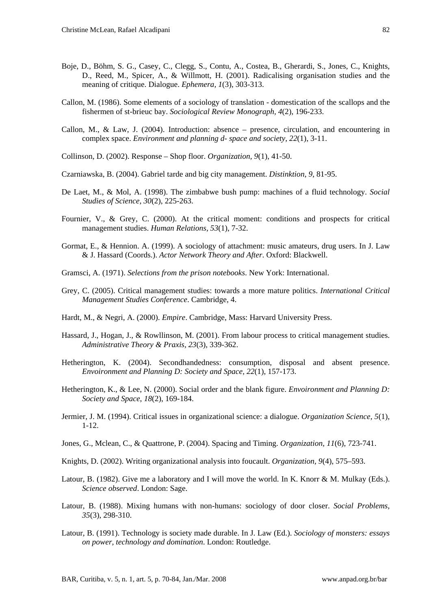- Boje, D., Böhm, S. G., Casey, C., Clegg, S., Contu, A., Costea, B., Gherardi, S., Jones, C., Knights, D., Reed, M., Spicer, A., & Willmott, H. (2001). Radicalising organisation studies and the meaning of critique. Dialogue. *Ephemera, 1*(3), 303-313.
- Callon, M. (1986). Some elements of a sociology of translation domestication of the scallops and the fishermen of st-brieuc bay. *Sociological Review Monograph, 4*(2), 196-233.
- Callon, M., & Law, J. (2004). Introduction: absence presence, circulation, and encountering in complex space. *Environment and planning d- space and society, 22*(1), 3-11.
- Collinson, D. (2002). Response Shop floor. *Organization, 9*(1), 41-50.
- Czarniawska, B. (2004). Gabriel tarde and big city management. *Distinktion*, *9*, 81-95.
- De Laet, M., & Mol, A. (1998). The zimbabwe bush pump: machines of a fluid technology. *Social Studies of Science, 30*(2), 225-263.
- Fournier, V., & Grey, C. (2000). At the critical moment: conditions and prospects for critical management studies. *Human Relations, 53*(1), 7-32.
- Gormat, E., & Hennion. A. (1999). A sociology of attachment: music amateurs, drug users. In J. Law & J. Hassard (Coords.). *Actor Network Theory and After*. Oxford: Blackwell.
- Gramsci, A. (1971). *Selections from the prison notebooks*. New York: International.
- Grey, C. (2005). Critical management studies: towards a more mature politics. *International Critical Management Studies Conference*. Cambridge, 4.
- Hardt, M., & Negri, A. (2000). *Empire*. Cambridge, Mass: Harvard University Press.
- Hassard, J., Hogan, J., & Rowllinson, M. (2001). From labour process to critical management studies. *Administrative Theory & Praxis, 23*(3), 339-362.
- Hetherington, K. (2004). Secondhandedness: consumption, disposal and absent presence. *Envoironment and Planning D: Society and Space, 22*(1), 157-173.
- Hetherington, K., & Lee, N. (2000). Social order and the blank figure. *Envoironment and Planning D: Society and Space*, *18*(2), 169-184.
- Jermier, J. M. (1994). Critical issues in organizational science: a dialogue. *Organization Science, 5*(1), 1-12.
- Jones, G., Mclean, C., & Quattrone, P. (2004). Spacing and Timing. *Organization, 11*(6), 723-741.
- Knights, D. (2002). Writing organizational analysis into foucault. *Organization, 9*(4), 575–593.
- Latour, B. (1982). Give me a laboratory and I will move the world. In K. Knorr & M. Mulkay (Eds.). *Science observed*. London: Sage.
- Latour, B. (1988). Mixing humans with non-humans: sociology of door closer. *Social Problems, 35*(3), 298-310.
- Latour, B. (1991). Technology is society made durable. In J. Law (Ed.). *Sociology of monsters: essays on power, technology and domination*. London: Routledge.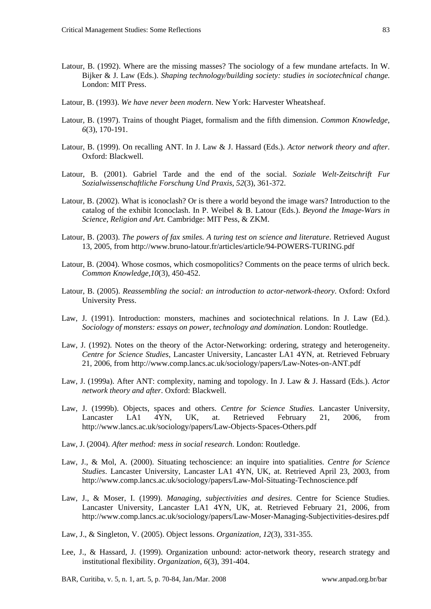- Latour, B. (1992). Where are the missing masses? The sociology of a few mundane artefacts. In W. Bijker & J. Law (Eds.). *Shaping technology/building society: studies in sociotechnical change*. London: MIT Press.
- Latour, B. (1993). *We have never been modern*. New York: Harvester Wheatsheaf.
- Latour, B. (1997). Trains of thought Piaget, formalism and the fifth dimension. *Common Knowledge, 6*(3), 170-191.
- Latour, B. (1999). On recalling ANT. In J. Law & J. Hassard (Eds.). *Actor network theory and after*. Oxford: Blackwell.
- Latour, B. (2001). Gabriel Tarde and the end of the social. *Soziale Welt-Zeitschrift Fur Sozialwissenschaftliche Forschung Und Praxis, 52*(3), 361-372.
- Latour, B. (2002). What is iconoclash? Or is there a world beyond the image wars? Introduction to the catalog of the exhibit Iconoclash. In P. Weibel & B. Latour (Eds.). *Beyond the Image-Wars in Science, Religion and Art.* Cambridge: MIT Pess, & ZKM.
- Latour, B. (2003). *The powers of fax smiles. A turing test on science and literature*. Retrieved August 13, 2005, from http://www.bruno-latour.fr/articles/article/94-POWERS-TURING.pdf
- Latour, B. (2004). Whose cosmos, which cosmopolitics? Comments on the peace terms of ulrich beck. *Common Knowledge,10*(3), 450-452.
- Latour, B. (2005). *Reassembling the social: an introduction to actor-network-theory*. Oxford: Oxford University Press.
- Law, J. (1991). Introduction: monsters, machines and sociotechnical relations. In J. Law (Ed.). *Sociology of monsters: essays on power, technology and domination*. London: Routledge.
- Law, J. (1992). Notes on the theory of the Actor-Networking: ordering, strategy and heterogeneity. *Centre for Science Studies*, Lancaster University, Lancaster LA1 4YN, at. Retrieved February 21, 2006, from http://www.comp.lancs.ac.uk/sociology/papers/Law-Notes-on-ANT.pdf
- Law, J. (1999a). After ANT: complexity, naming and topology. In J. Law & J. Hassard (Eds.). *Actor network theory and after*. Oxford: Blackwell.
- Law, J. (1999b). Objects, spaces and others. *Centre for Science Studies*. Lancaster University, Lancaster LA1 4YN, UK, at. Retrieved February 21, 2006, from http://www.lancs.ac.uk/sociology/papers/Law-Objects-Spaces-Others.pdf
- Law, J. (2004). *After method: mess in social research*. London: Routledge.
- Law, J., & Mol, A. (2000). Situating techoscience: an inquire into spatialities. *Centre for Science Studies*. Lancaster University, Lancaster LA1 4YN, UK, at. Retrieved April 23, 2003, from http://www.comp.lancs.ac.uk/sociology/papers/Law-Mol-Situating-Technoscience.pdf
- Law, J., & Moser, I. (1999). *Managing, subjectivities and desires*. Centre for Science Studies. Lancaster University, Lancaster LA1 4YN, UK, at. Retrieved February 21, 2006, from http://www.comp.lancs.ac.uk/sociology/papers/Law-Moser-Managing-Subjectivities-desires.pdf
- Law, J., & Singleton, V. (2005). Object lessons. *Organization, 12*(3), 331-355.
- Lee, J., & Hassard, J. (1999). Organization unbound: actor-network theory, research strategy and institutional flexibility. *Organization, 6*(3), 391-404.
- BAR, Curitiba, v. 5, n. 1, art. 5, p. 70-84, Jan./Mar. 2008 www.anpad.org.br/bar